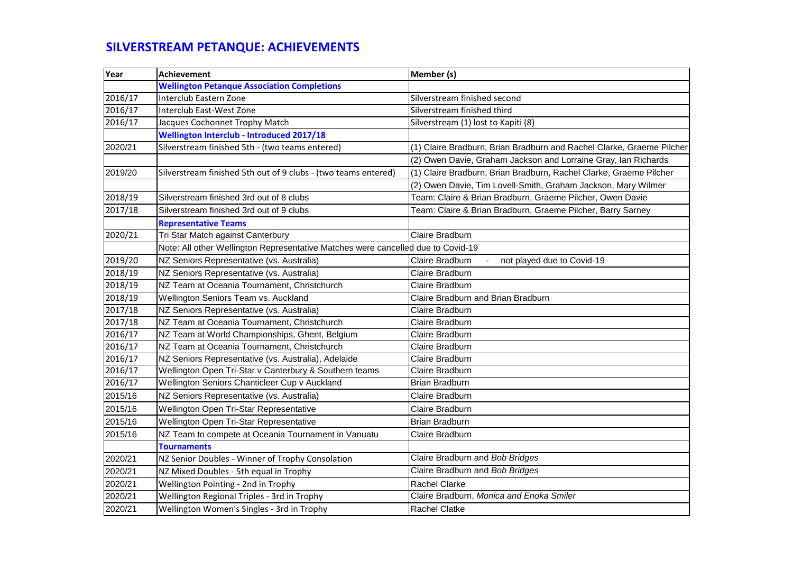## **SILVERSTREAM PETANQUE: ACHIEVEMENTS**

| Year    | <b>Achievement</b>                                                               | Member (s)                                                            |
|---------|----------------------------------------------------------------------------------|-----------------------------------------------------------------------|
|         | <b>Wellington Petanque Association Completions</b>                               |                                                                       |
| 2016/17 | Interclub Eastern Zone                                                           | Silverstream finished second                                          |
| 2016/17 | Interclub East-West Zone                                                         | Silverstream finished third                                           |
| 2016/17 | Jacques Cochonnet Trophy Match                                                   | Silverstream (1) lost to Kapiti (8)                                   |
|         | <b>Wellington Interclub - Introduced 2017/18</b>                                 |                                                                       |
| 2020/21 | Silverstream finished 5th - (two teams entered)                                  | (1) Claire Bradburn, Brian Bradburn and Rachel Clarke, Graeme Pilcher |
|         |                                                                                  | (2) Owen Davie, Graham Jackson and Lorraine Gray, Ian Richards        |
| 2019/20 | Silverstream finished 5th out of 9 clubs - (two teams entered)                   | (1) Claire Bradburn, Brian Bradburn, Rachel Clarke, Graeme Pilcher    |
|         |                                                                                  | (2) Owen Davie, Tim Lovell-Smith, Graham Jackson, Mary Wilmer         |
| 2018/19 | Silverstream finished 3rd out of 8 clubs                                         | Team: Claire & Brian Bradburn, Graeme Pilcher, Owen Davie             |
| 2017/18 | Silverstream finished 3rd out of 9 clubs                                         | Team: Claire & Brian Bradburn, Graeme Pilcher, Barry Sarney           |
|         | <b>Representative Teams</b>                                                      |                                                                       |
| 2020/21 | Tri Star Match against Canterbury                                                | Claire Bradburn                                                       |
|         | Note: All other Wellington Representative Matches were cancelled due to Covid-19 |                                                                       |
| 2019/20 | NZ Seniors Representative (vs. Australia)                                        | Claire Bradburn<br>not played due to Covid-19                         |
| 2018/19 | NZ Seniors Representative (vs. Australia)                                        | Claire Bradburn                                                       |
| 2018/19 | NZ Team at Oceania Tournament, Christchurch                                      | Claire Bradburn                                                       |
| 2018/19 | Wellington Seniors Team vs. Auckland                                             | Claire Bradburn and Brian Bradburn                                    |
| 2017/18 | NZ Seniors Representative (vs. Australia)                                        | Claire Bradburn                                                       |
| 2017/18 | NZ Team at Oceania Tournament, Christchurch                                      | Claire Bradburn                                                       |
| 2016/17 | NZ Team at World Championships, Ghent, Belgium                                   | Claire Bradburn                                                       |
| 2016/17 | NZ Team at Oceania Tournament, Christchurch                                      | Claire Bradburn                                                       |
| 2016/17 | NZ Seniors Representative (vs. Australia), Adelaide                              | Claire Bradburn                                                       |
| 2016/17 | Wellington Open Tri-Star v Canterbury & Southern teams                           | Claire Bradburn                                                       |
| 2016/17 | Wellington Seniors Chanticleer Cup v Auckland                                    | <b>Brian Bradburn</b>                                                 |
| 2015/16 | NZ Seniors Representative (vs. Australia)                                        | Claire Bradburn                                                       |
| 2015/16 | Wellington Open Tri-Star Representative                                          | Claire Bradburn                                                       |
| 2015/16 | Wellington Open Tri-Star Representative                                          | <b>Brian Bradburn</b>                                                 |
| 2015/16 | NZ Team to compete at Oceania Tournament in Vanuatu                              | Claire Bradburn                                                       |
|         | <b>Tournaments</b>                                                               |                                                                       |
| 2020/21 | NZ Senior Doubles - Winner of Trophy Consolation                                 | Claire Bradburn and Bob Bridges                                       |
| 2020/21 | NZ Mixed Doubles - 5th equal in Trophy                                           | Claire Bradburn and Bob Bridges                                       |
| 2020/21 | Wellington Pointing - 2nd in Trophy                                              | <b>Rachel Clarke</b>                                                  |
| 2020/21 | Wellington Regional Triples - 3rd in Trophy                                      | Claire Bradburn, Monica and Enoka Smiler                              |
| 2020/21 | Wellington Women's Singles - 3rd in Trophy                                       | <b>Rachel Clatke</b>                                                  |